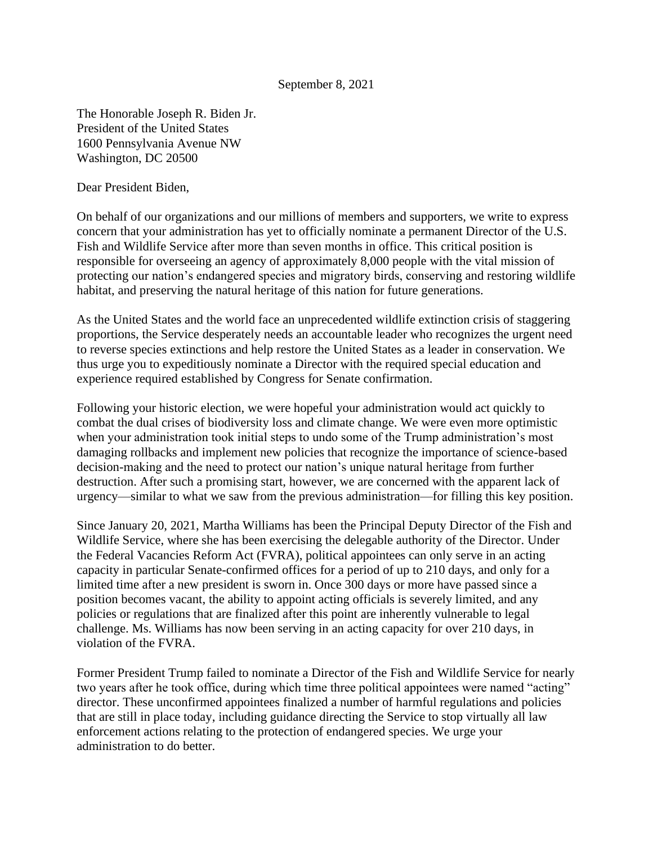## September 8, 2021

The Honorable Joseph R. Biden Jr. President of the United States 1600 Pennsylvania Avenue NW Washington, DC 20500

Dear President Biden,

On behalf of our organizations and our millions of members and supporters, we write to express concern that your administration has yet to officially nominate a permanent Director of the U.S. Fish and Wildlife Service after more than seven months in office. This critical position is responsible for overseeing an agency of approximately 8,000 people with the vital mission of protecting our nation's endangered species and migratory birds, conserving and restoring wildlife habitat, and preserving the natural heritage of this nation for future generations.

As the United States and the world face an unprecedented wildlife extinction crisis of staggering proportions, the Service desperately needs an accountable leader who recognizes the urgent need to reverse species extinctions and help restore the United States as a leader in conservation. We thus urge you to expeditiously nominate a Director with the required special education and experience required established by Congress for Senate confirmation.

Following your historic election, we were hopeful your administration would act quickly to combat the dual crises of biodiversity loss and climate change. We were even more optimistic when your administration took initial steps to undo some of the Trump administration's most damaging rollbacks and implement new policies that recognize the importance of science-based decision-making and the need to protect our nation's unique natural heritage from further destruction. After such a promising start, however, we are concerned with the apparent lack of urgency—similar to what we saw from the previous administration—for filling this key position.

Since January 20, 2021, Martha Williams has been the Principal Deputy Director of the Fish and Wildlife Service, where she has been exercising the delegable authority of the Director. Under the Federal Vacancies Reform Act (FVRA), political appointees can only serve in an acting capacity in particular Senate-confirmed offices for a period of up to 210 days, and only for a limited time after a new president is sworn in. Once 300 days or more have passed since a position becomes vacant, the ability to appoint acting officials is severely limited, and any policies or regulations that are finalized after this point are inherently vulnerable to legal challenge. Ms. Williams has now been serving in an acting capacity for over 210 days, in violation of the FVRA.

Former President Trump failed to nominate a Director of the Fish and Wildlife Service for nearly two years after he took office, during which time three political appointees were named "acting" director. These unconfirmed appointees finalized a number of harmful regulations and policies that are still in place today, including guidance directing the Service to stop virtually all law enforcement actions relating to the protection of endangered species. We urge your administration to do better.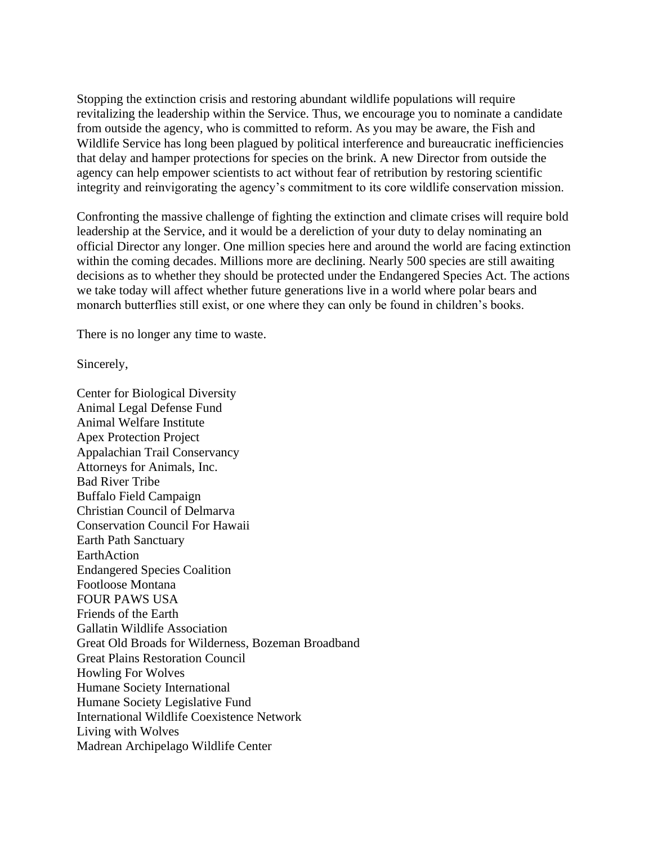Stopping the extinction crisis and restoring abundant wildlife populations will require revitalizing the leadership within the Service. Thus, we encourage you to nominate a candidate from outside the agency, who is committed to reform. As you may be aware, the Fish and Wildlife Service has long been plagued by political interference and bureaucratic inefficiencies that delay and hamper protections for species on the brink. A new Director from outside the agency can help empower scientists to act without fear of retribution by restoring scientific integrity and reinvigorating the agency's commitment to its core wildlife conservation mission.

Confronting the massive challenge of fighting the extinction and climate crises will require bold leadership at the Service, and it would be a dereliction of your duty to delay nominating an official Director any longer. One million species here and around the world are facing extinction within the coming decades. Millions more are declining. Nearly 500 species are still awaiting decisions as to whether they should be protected under the Endangered Species Act. The actions we take today will affect whether future generations live in a world where polar bears and monarch butterflies still exist, or one where they can only be found in children's books.

There is no longer any time to waste.

Sincerely,

Center for Biological Diversity Animal Legal Defense Fund Animal Welfare Institute Apex Protection Project Appalachian Trail Conservancy Attorneys for Animals, Inc. Bad River Tribe Buffalo Field Campaign Christian Council of Delmarva Conservation Council For Hawaii Earth Path Sanctuary EarthAction Endangered Species Coalition Footloose Montana FOUR PAWS USA Friends of the Earth Gallatin Wildlife Association Great Old Broads for Wilderness, Bozeman Broadband Great Plains Restoration Council Howling For Wolves Humane Society International Humane Society Legislative Fund International Wildlife Coexistence Network Living with Wolves Madrean Archipelago Wildlife Center